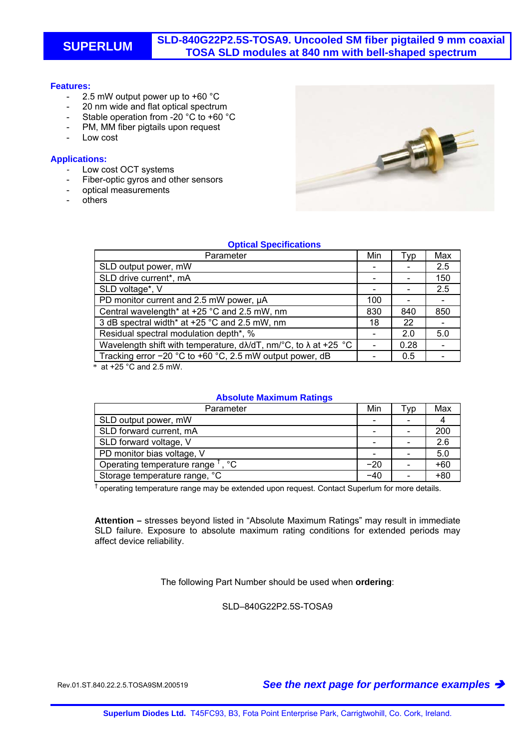### **Features:**

- 2.5 mW output power up to +60 °C
- 20 nm wide and flat optical spectrum
- Stable operation from -20 °C to +60 °C
- PM, MM fiber pigtails upon request
- Low cost

## **Applications:**

- 
- Low cost OCT systems Fiber-optic gyros and other sensors
- optical measurements
- others



## **Optical Specifications**

| Parameter                                                                        |     | Typ  | Max |
|----------------------------------------------------------------------------------|-----|------|-----|
| SLD output power, mW                                                             |     |      | 2.5 |
| SLD drive current*, mA                                                           |     |      | 150 |
| SLD voltage*, V                                                                  |     |      | 2.5 |
| PD monitor current and 2.5 mW power, µA                                          | 100 |      |     |
| Central wavelength* at +25 °C and 2.5 mW, nm                                     | 830 | 840  | 850 |
| 3 dB spectral width* at +25 °C and 2.5 mW, nm                                    | 18  | 22   |     |
| Residual spectral modulation depth*, %                                           |     | 2.0  | 5.0 |
| Wavelength shift with temperature, $d\lambda/dT$ , nm/°C, to $\lambda$ at +25 °C |     | 0.28 |     |
| Tracking error $-20$ °C to $+60$ °C, 2.5 mW output power, dB                     |     | 0.5  |     |
| $*$ at +25 °C and 2.5 mW.                                                        |     |      |     |

### **Absolute Maximum Ratings**

| Parameter                         |  | Tvp | Max   |
|-----------------------------------|--|-----|-------|
| SLD output power, mW              |  |     |       |
| SLD forward current, mA           |  |     | 200   |
| SLD forward voltage, V            |  |     | 2.6   |
| PD monitor bias voltage, V        |  |     | 5.0   |
| °C<br>Operating temperature range |  |     | $+60$ |
| Storage temperature range, °C     |  |     | $+80$ |

<sup>†</sup> operating temperature range may be extended upon request. Contact Superlum for more details.

**Attention –** stresses beyond listed in "Absolute Maximum Ratings" may result in immediate SLD failure. Exposure to absolute maximum rating conditions for extended periods may affect device reliability.

The following Part Number should be used when **ordering**:

SLD–840G22P2.5S-TOSA9

Rev.01.ST.840.22.2.5.TOSA9SM.200519 *See the next page for performance examples*